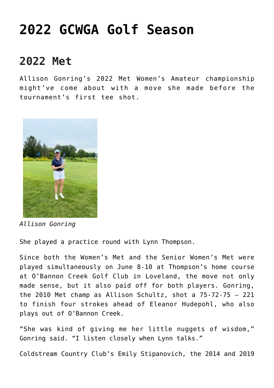## **[2022 GCWGA Golf Season](https://www.gcwga.org/)**

## **2022 Met**

Allison Gonring's 2022 Met Women's Amateur championship might've come about with a move she made before the tournament's first tee shot.



*Allison Gonring*

She played a practice round with Lynn Thompson.

Since both the Women's Met and the Senior Women's Met were played simultaneously on June 8-10 at Thompson's home course at O'Bannon Creek Golf Club in Loveland, the move not only made sense, but it also paid off for both players. Gonring, the 2010 Met champ as Allison Schultz, shot a 75-72-75 – 221 to finish four strokes ahead of Eleanor Hudepohl, who also plays out of O'Bannon Creek.

"She was kind of giving me her little nuggets of wisdom," Gonring said. "I listen closely when Lynn talks."

Coldstream Country Club's Emily Stipanovich, the 2014 and 2019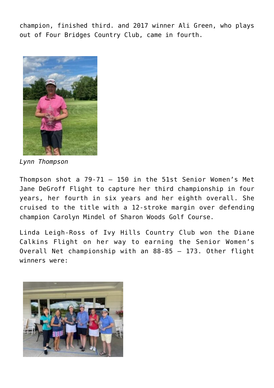champion, finished third. and 2017 winner Ali Green, who plays out of Four Bridges Country Club, came in fourth.



*Lynn Thompson*

Thompson shot a 79-71 – 150 in the 51st Senior Women's Met Jane DeGroff Flight to capture her third championship in four years, her fourth in six years and her eighth overall. She cruised to the title with a 12-stroke margin over defending champion Carolyn Mindel of Sharon Woods Golf Course.

Linda Leigh-Ross of Ivy Hills Country Club won the Diane Calkins Flight on her way to earning the Senior Women's Overall Net championship with an 88-85 – 173. Other flight winners were:

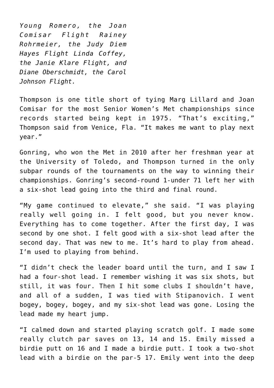*Young Romero, the Joan Comisar Flight Rainey Rohrmeier, the Judy Diem Hayes Flight Linda Coffey, the Janie Klare Flight, and Diane Oberschmidt, the Carol Johnson Flight.*

Thompson is one title short of tying Marg Lillard and Joan Comisar for the most Senior Women's Met championships since records started being kept in 1975. "That's exciting," Thompson said from Venice, Fla. "It makes me want to play next year."

Gonring, who won the Met in 2010 after her freshman year at the University of Toledo, and Thompson turned in the only subpar rounds of the tournaments on the way to winning their championships. Gonring's second-round 1-under 71 left her with a six-shot lead going into the third and final round.

"My game continued to elevate," she said. "I was playing really well going in. I felt good, but you never know. Everything has to come together. After the first day, I was second by one shot. I felt good with a six-shot lead after the second day. That was new to me. It's hard to play from ahead. I'm used to playing from behind.

"I didn't check the leader board until the turn, and I saw I had a four-shot lead. I remember wishing it was six shots, but still, it was four. Then I hit some clubs I shouldn't have, and all of a sudden, I was tied with Stipanovich. I went bogey, bogey, bogey, and my six-shot lead was gone. Losing the lead made my heart jump.

"I calmed down and started playing scratch golf. I made some really clutch par saves on 13, 14 and 15. Emily missed a birdie putt on 16 and I made a birdie putt. I took a two-shot lead with a birdie on the par-5 17. Emily went into the deep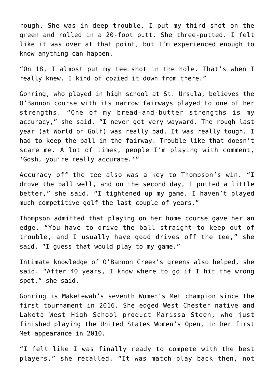rough. She was in deep trouble. I put my third shot on the green and rolled in a 20-foot putt. She three-putted. I felt like it was over at that point, but I'm experienced enough to know anything can happen.

"On 18, I almost put my tee shot in the hole. That's when I really knew. I kind of cozied it down from there."

Gonring, who played in high school at St. Ursula, believes the O'Bannon course with its narrow fairways played to one of her strengths. "One of my bread-and-butter strengths is my accuracy," she said. "I never get very wayward. The rough last year (at World of Golf) was really bad. It was really tough. I had to keep the ball in the fairway. Trouble like that doesn't scare me. A lot of times, people I'm playing with comment, 'Gosh, you're really accurate.'"

Accuracy off the tee also was a key to Thompson's win. "I drove the ball well, and on the second day, I putted a little better," she said. "I tightened up my game. I haven't played much competitive golf the last couple of years."

Thompson admitted that playing on her home course gave her an edge. "You have to drive the ball straight to keep out of trouble, and I usually have good drives off the tee," she said. "I guess that would play to my game."

Intimate knowledge of O'Bannon Creek's greens also helped, she said. "After 40 years, I know where to go if I hit the wrong spot," she said.

Gonring is Maketewah's seventh Women's Met champion since the first tournament in 2016. She edged West Chester native and Lakota West High School product Marissa Steen, who just finished playing the United States Women's Open, in her first Met appearance in 2010.

"I felt like I was finally ready to compete with the best players," she recalled. "It was match play back then, not